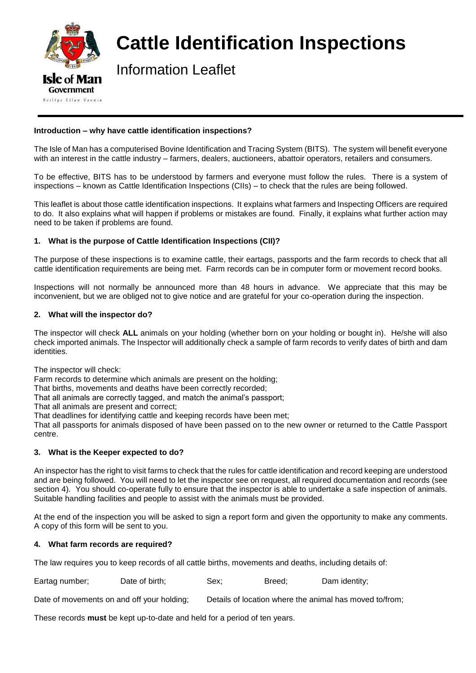

# **Cattle Identification Inspections**

Information Leaflet

## **Introduction – why have cattle identification inspections?**

The Isle of Man has a computerised Bovine Identification and Tracing System (BITS). The system will benefit everyone with an interest in the cattle industry – farmers, dealers, auctioneers, abattoir operators, retailers and consumers.

To be effective, BITS has to be understood by farmers and everyone must follow the rules. There is a system of inspections – known as Cattle Identification Inspections (CIIs) – to check that the rules are being followed.

This leaflet is about those cattle identification inspections. It explains what farmers and Inspecting Officers are required to do. It also explains what will happen if problems or mistakes are found. Finally, it explains what further action may need to be taken if problems are found.

## **1. What is the purpose of Cattle Identification Inspections (CII)?**

The purpose of these inspections is to examine cattle, their eartags, passports and the farm records to check that all cattle identification requirements are being met. Farm records can be in computer form or movement record books.

Inspections will not normally be announced more than 48 hours in advance. We appreciate that this may be inconvenient, but we are obliged not to give notice and are grateful for your co-operation during the inspection.

## **2. What will the inspector do?**

The inspector will check **ALL** animals on your holding (whether born on your holding or bought in). He/she will also check imported animals. The Inspector will additionally check a sample of farm records to verify dates of birth and dam identities.

The inspector will check:

Farm records to determine which animals are present on the holding;

That births, movements and deaths have been correctly recorded;

That all animals are correctly tagged, and match the animal's passport;

That all animals are present and correct;

That deadlines for identifying cattle and keeping records have been met;

That all passports for animals disposed of have been passed on to the new owner or returned to the Cattle Passport centre.

## **3. What is the Keeper expected to do?**

An inspector has the right to visit farms to check that the rules for cattle identification and record keeping are understood and are being followed. You will need to let the inspector see on request, all required documentation and records (see section 4). You should co-operate fully to ensure that the inspector is able to undertake a safe inspection of animals. Suitable handling facilities and people to assist with the animals must be provided.

At the end of the inspection you will be asked to sign a report form and given the opportunity to make any comments. A copy of this form will be sent to you.

## **4. What farm records are required?**

The law requires you to keep records of all cattle births, movements and deaths, including details of:

| Eartag number; |                |      |        |               |
|----------------|----------------|------|--------|---------------|
|                | Date of birth; | Sex: | Breed: | Dam identity; |
|                |                |      |        |               |

Date of movements on and off your holding: Details of location where the animal has moved to/from:

These records **must** be kept up-to-date and held for a period of ten years.